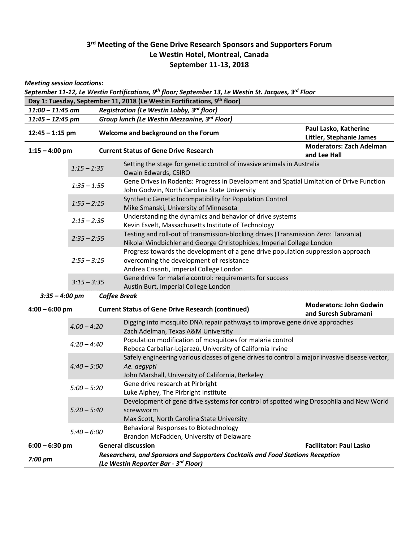## **3rd Meeting of the Gene Drive Research Sponsors and Supporters Forum Le Westin Hotel, Montreal, Canada September 11-13, 2018**

## *Meeting session locations:*

*September 11-12, Le Westin Fortifications, 9th floor; September 13, Le Westin St. Jacques, 3rd Floor*

| Day 1: Tuesday, September 11, 2018 (Le Westin Fortifications, 9th floor)                                                                   |               |                                                                                                                                                                          |                                                        |  |  |
|--------------------------------------------------------------------------------------------------------------------------------------------|---------------|--------------------------------------------------------------------------------------------------------------------------------------------------------------------------|--------------------------------------------------------|--|--|
| $11:00 - 11:45$ am                                                                                                                         |               | Registration (Le Westin Lobby, 3rd floor)                                                                                                                                |                                                        |  |  |
| 11:45 - 12:45 pm                                                                                                                           |               | Group lunch (Le Westin Mezzanine, 3rd Floor)                                                                                                                             |                                                        |  |  |
| $12:45 - 1:15$ pm                                                                                                                          |               | Welcome and background on the Forum                                                                                                                                      | Paul Lasko, Katherine<br>Littler, Stephanie James      |  |  |
| $1:15 - 4:00$ pm                                                                                                                           |               | <b>Current Status of Gene Drive Research</b>                                                                                                                             | <b>Moderators: Zach Adelman</b><br>and Lee Hall        |  |  |
|                                                                                                                                            | $1:15 - 1:35$ | Setting the stage for genetic control of invasive animals in Australia<br>Owain Edwards, CSIRO                                                                           |                                                        |  |  |
|                                                                                                                                            | $1:35 - 1:55$ | Gene Drives in Rodents: Progress in Development and Spatial Limitation of Drive Function<br>John Godwin, North Carolina State University                                 |                                                        |  |  |
|                                                                                                                                            | $1:55 - 2:15$ | Synthetic Genetic Incompatibility for Population Control<br>Mike Smanski, University of Minnesota                                                                        |                                                        |  |  |
|                                                                                                                                            | $2:15 - 2:35$ | Understanding the dynamics and behavior of drive systems<br>Kevin Esvelt, Massachusetts Institute of Technology                                                          |                                                        |  |  |
|                                                                                                                                            | $2:35 - 2:55$ | Testing and roll-out of transmission-blocking drives (Transmission Zero: Tanzania)<br>Nikolai Windbichler and George Christophides, Imperial College London              |                                                        |  |  |
|                                                                                                                                            | $2:55 - 3:15$ | Progress towards the development of a gene drive population suppression approach<br>overcoming the development of resistance<br>Andrea Crisanti, Imperial College London |                                                        |  |  |
|                                                                                                                                            | $3:15 - 3:35$ | Gene drive for malaria control: requirements for success<br>Austin Burt, Imperial College London                                                                         |                                                        |  |  |
| <b>Coffee Break</b><br>$3:35 - 4:00$ pm                                                                                                    |               |                                                                                                                                                                          |                                                        |  |  |
| $4:00 - 6:00$ pm                                                                                                                           |               | <b>Current Status of Gene Drive Research (continued)</b>                                                                                                                 | <b>Moderators: John Godwin</b><br>and Suresh Subramani |  |  |
|                                                                                                                                            | $4:00 - 4:20$ | Digging into mosquito DNA repair pathways to improve gene drive approaches<br>Zach Adelman, Texas A&M University                                                         |                                                        |  |  |
|                                                                                                                                            | $4:20 - 4:40$ | Population modification of mosquitoes for malaria control<br>Rebeca Carballar-Lejarazú, University of California Irvine                                                  |                                                        |  |  |
|                                                                                                                                            | $4:40 - 5:00$ | Safely engineering various classes of gene drives to control a major invasive disease vector,<br>Ae. aegypti<br>John Marshall, University of California, Berkeley        |                                                        |  |  |
|                                                                                                                                            | $5:00 - 5:20$ | Gene drive research at Pirbright<br>Luke Alphey, The Pirbright Institute                                                                                                 |                                                        |  |  |
|                                                                                                                                            | $5:20 - 5:40$ | Development of gene drive systems for control of spotted wing Drosophila and New World<br>screwworm<br>Max Scott, North Carolina State University                        |                                                        |  |  |
|                                                                                                                                            | $5:40 - 6:00$ | <b>Behavioral Responses to Biotechnology</b><br>Brandon McFadden, University of Delaware                                                                                 |                                                        |  |  |
| $6:00 - 6:30$ pm                                                                                                                           |               | <b>General discussion</b>                                                                                                                                                | <b>Facilitator: Paul Lasko</b>                         |  |  |
| Researchers, and Sponsors and Supporters Cocktails and Food Stations Reception<br>$7:00~\text{pm}$<br>(Le Westin Reporter Bar - 3rd Floor) |               |                                                                                                                                                                          |                                                        |  |  |
|                                                                                                                                            |               |                                                                                                                                                                          |                                                        |  |  |